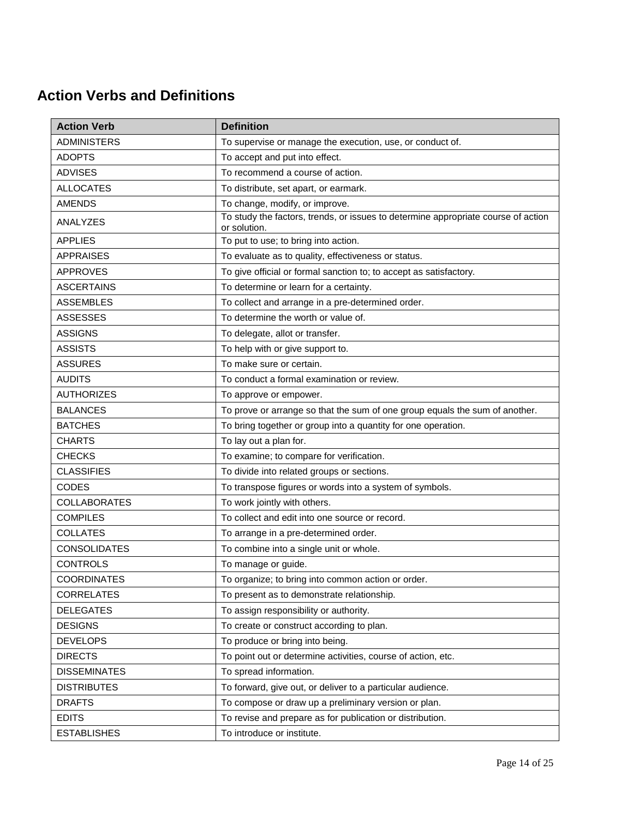## **Action Verbs and Definitions**

| <b>Action Verb</b>  | <b>Definition</b>                                                                                 |
|---------------------|---------------------------------------------------------------------------------------------------|
| <b>ADMINISTERS</b>  | To supervise or manage the execution, use, or conduct of.                                         |
| <b>ADOPTS</b>       | To accept and put into effect.                                                                    |
| <b>ADVISES</b>      | To recommend a course of action.                                                                  |
| <b>ALLOCATES</b>    | To distribute, set apart, or earmark.                                                             |
| <b>AMENDS</b>       | To change, modify, or improve.                                                                    |
| ANALYZES            | To study the factors, trends, or issues to determine appropriate course of action<br>or solution. |
| <b>APPLIES</b>      | To put to use; to bring into action.                                                              |
| <b>APPRAISES</b>    | To evaluate as to quality, effectiveness or status.                                               |
| <b>APPROVES</b>     | To give official or formal sanction to; to accept as satisfactory.                                |
| <b>ASCERTAINS</b>   | To determine or learn for a certainty.                                                            |
| <b>ASSEMBLES</b>    | To collect and arrange in a pre-determined order.                                                 |
| <b>ASSESSES</b>     | To determine the worth or value of.                                                               |
| <b>ASSIGNS</b>      | To delegate, allot or transfer.                                                                   |
| <b>ASSISTS</b>      | To help with or give support to.                                                                  |
| <b>ASSURES</b>      | To make sure or certain.                                                                          |
| <b>AUDITS</b>       | To conduct a formal examination or review.                                                        |
| <b>AUTHORIZES</b>   | To approve or empower.                                                                            |
| <b>BALANCES</b>     | To prove or arrange so that the sum of one group equals the sum of another.                       |
| <b>BATCHES</b>      | To bring together or group into a quantity for one operation.                                     |
| <b>CHARTS</b>       | To lay out a plan for.                                                                            |
| <b>CHECKS</b>       | To examine; to compare for verification.                                                          |
| <b>CLASSIFIES</b>   | To divide into related groups or sections.                                                        |
| <b>CODES</b>        | To transpose figures or words into a system of symbols.                                           |
| <b>COLLABORATES</b> | To work jointly with others.                                                                      |
| <b>COMPILES</b>     | To collect and edit into one source or record.                                                    |
| <b>COLLATES</b>     | To arrange in a pre-determined order.                                                             |
| <b>CONSOLIDATES</b> | To combine into a single unit or whole.                                                           |
| <b>CONTROLS</b>     | To manage or guide.                                                                               |
| <b>COORDINATES</b>  | To organize; to bring into common action or order.                                                |
| <b>CORRELATES</b>   | To present as to demonstrate relationship.                                                        |
| <b>DELEGATES</b>    | To assign responsibility or authority.                                                            |
| <b>DESIGNS</b>      | To create or construct according to plan.                                                         |
| <b>DEVELOPS</b>     | To produce or bring into being.                                                                   |
| <b>DIRECTS</b>      | To point out or determine activities, course of action, etc.                                      |
| <b>DISSEMINATES</b> | To spread information.                                                                            |
| <b>DISTRIBUTES</b>  | To forward, give out, or deliver to a particular audience.                                        |
| <b>DRAFTS</b>       | To compose or draw up a preliminary version or plan.                                              |
| <b>EDITS</b>        | To revise and prepare as for publication or distribution.                                         |
| <b>ESTABLISHES</b>  | To introduce or institute.                                                                        |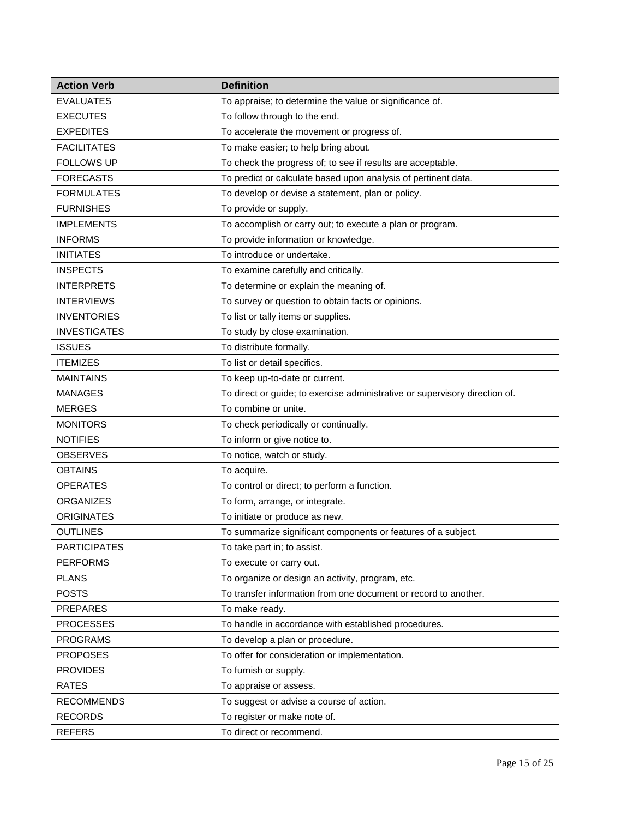| <b>Action Verb</b>  | <b>Definition</b>                                                           |
|---------------------|-----------------------------------------------------------------------------|
| <b>EVALUATES</b>    | To appraise; to determine the value or significance of.                     |
| <b>EXECUTES</b>     | To follow through to the end.                                               |
| <b>EXPEDITES</b>    | To accelerate the movement or progress of.                                  |
| <b>FACILITATES</b>  | To make easier; to help bring about.                                        |
| <b>FOLLOWS UP</b>   | To check the progress of; to see if results are acceptable.                 |
| <b>FORECASTS</b>    | To predict or calculate based upon analysis of pertinent data.              |
| <b>FORMULATES</b>   | To develop or devise a statement, plan or policy.                           |
| <b>FURNISHES</b>    | To provide or supply.                                                       |
| <b>IMPLEMENTS</b>   | To accomplish or carry out; to execute a plan or program.                   |
| <b>INFORMS</b>      | To provide information or knowledge.                                        |
| <b>INITIATES</b>    | To introduce or undertake.                                                  |
| <b>INSPECTS</b>     | To examine carefully and critically.                                        |
| <b>INTERPRETS</b>   | To determine or explain the meaning of.                                     |
| <b>INTERVIEWS</b>   | To survey or question to obtain facts or opinions.                          |
| <b>INVENTORIES</b>  | To list or tally items or supplies.                                         |
| <b>INVESTIGATES</b> | To study by close examination.                                              |
| <b>ISSUES</b>       | To distribute formally.                                                     |
| <b>ITEMIZES</b>     | To list or detail specifics.                                                |
| <b>MAINTAINS</b>    | To keep up-to-date or current.                                              |
| <b>MANAGES</b>      | To direct or guide; to exercise administrative or supervisory direction of. |
| <b>MERGES</b>       | To combine or unite.                                                        |
| <b>MONITORS</b>     | To check periodically or continually.                                       |
| <b>NOTIFIES</b>     | To inform or give notice to.                                                |
| <b>OBSERVES</b>     | To notice, watch or study.                                                  |
| <b>OBTAINS</b>      | To acquire.                                                                 |
| <b>OPERATES</b>     | To control or direct; to perform a function.                                |
| <b>ORGANIZES</b>    | To form, arrange, or integrate.                                             |
| <b>ORIGINATES</b>   | To initiate or produce as new.                                              |
| <b>OUTLINES</b>     | To summarize significant components or features of a subject.               |
| <b>PARTICIPATES</b> | To take part in; to assist.                                                 |
| <b>PERFORMS</b>     | To execute or carry out.                                                    |
| <b>PLANS</b>        | To organize or design an activity, program, etc.                            |
| <b>POSTS</b>        | To transfer information from one document or record to another.             |
| <b>PREPARES</b>     | To make ready.                                                              |
| <b>PROCESSES</b>    | To handle in accordance with established procedures.                        |
| <b>PROGRAMS</b>     | To develop a plan or procedure.                                             |
| <b>PROPOSES</b>     | To offer for consideration or implementation.                               |
| <b>PROVIDES</b>     | To furnish or supply.                                                       |
| <b>RATES</b>        | To appraise or assess.                                                      |
| <b>RECOMMENDS</b>   | To suggest or advise a course of action.                                    |
| <b>RECORDS</b>      | To register or make note of.                                                |
| <b>REFERS</b>       | To direct or recommend.                                                     |